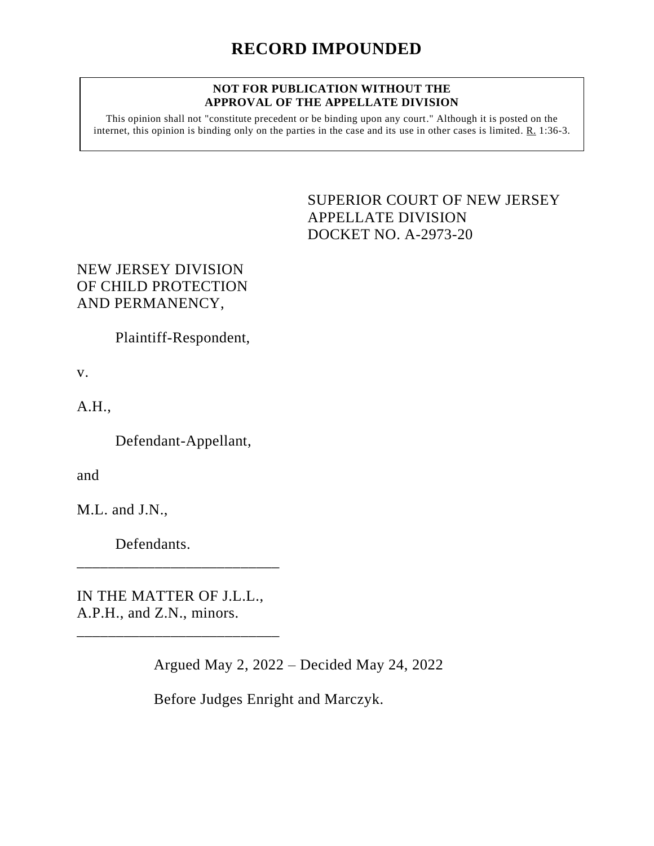## **NOT FOR PUBLICATION WITHOUT THE APPROVAL OF THE APPELLATE DIVISION**

This opinion shall not "constitute precedent or be binding upon any court." Although it is posted on the internet, this opinion is binding only on the parties in the case and its use in other cases is limited. R. 1:36-3.

> SUPERIOR COURT OF NEW JERSEY APPELLATE DIVISION DOCKET NO. A-2973-20

## NEW JERSEY DIVISION OF CHILD PROTECTION AND PERMANENCY,

Plaintiff-Respondent,

v.

A.H.,

Defendant-Appellant,

and

M.L. and J.N.,

Defendants.

IN THE MATTER OF J.L.L., A.P.H., and Z.N., minors.

\_\_\_\_\_\_\_\_\_\_\_\_\_\_\_\_\_\_\_\_\_\_\_\_\_\_

\_\_\_\_\_\_\_\_\_\_\_\_\_\_\_\_\_\_\_\_\_\_\_\_\_\_

Argued May 2, 2022 – Decided May 24, 2022

Before Judges Enright and Marczyk.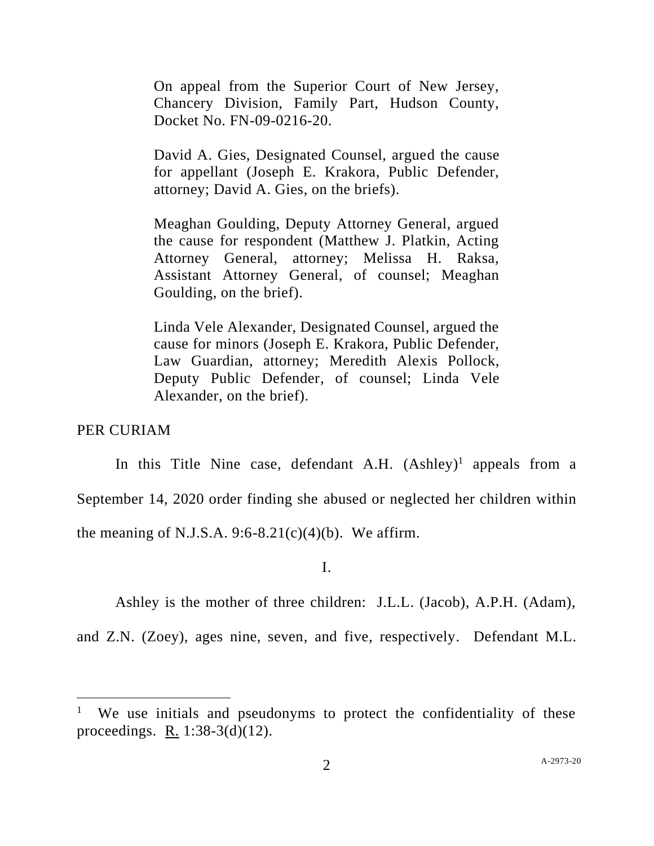On appeal from the Superior Court of New Jersey, Chancery Division, Family Part, Hudson County, Docket No. FN-09-0216-20.

David A. Gies, Designated Counsel, argued the cause for appellant (Joseph E. Krakora, Public Defender, attorney; David A. Gies, on the briefs).

Meaghan Goulding, Deputy Attorney General, argued the cause for respondent (Matthew J. Platkin, Acting Attorney General, attorney; Melissa H. Raksa, Assistant Attorney General, of counsel; Meaghan Goulding, on the brief).

Linda Vele Alexander, Designated Counsel, argued the cause for minors (Joseph E. Krakora, Public Defender, Law Guardian, attorney; Meredith Alexis Pollock, Deputy Public Defender, of counsel; Linda Vele Alexander, on the brief).

PER CURIAM

In this Title Nine case, defendant A.H. (Ashley)<sup>1</sup> appeals from a September 14, 2020 order finding she abused or neglected her children within the meaning of N.J.S.A. 9:6-8.21 $(c)(4)(b)$ . We affirm.

I.

Ashley is the mother of three children: J.L.L. (Jacob), A.P.H. (Adam),

and Z.N. (Zoey), ages nine, seven, and five, respectively. Defendant M.L.

<sup>&</sup>lt;sup>1</sup> We use initials and pseudonyms to protect the confidentiality of these proceedings. R. 1:38-3(d)(12).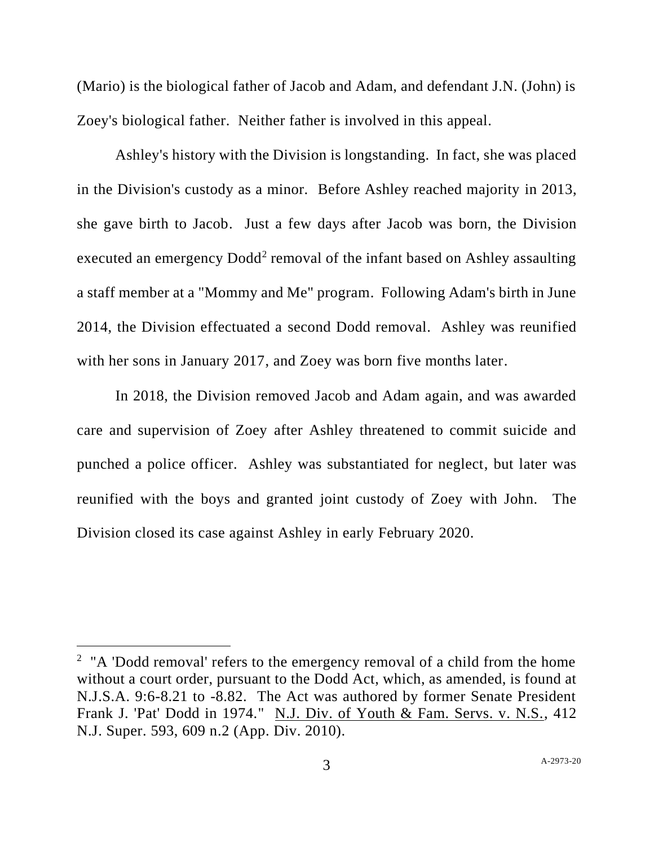(Mario) is the biological father of Jacob and Adam, and defendant J.N. (John) is Zoey's biological father. Neither father is involved in this appeal.

Ashley's history with the Division is longstanding. In fact, she was placed in the Division's custody as a minor. Before Ashley reached majority in 2013, she gave birth to Jacob. Just a few days after Jacob was born, the Division executed an emergency Dodd<sup>2</sup> removal of the infant based on Ashley assaulting a staff member at a "Mommy and Me" program. Following Adam's birth in June 2014, the Division effectuated a second Dodd removal. Ashley was reunified with her sons in January 2017, and Zoey was born five months later.

In 2018, the Division removed Jacob and Adam again, and was awarded care and supervision of Zoey after Ashley threatened to commit suicide and punched a police officer. Ashley was substantiated for neglect, but later was reunified with the boys and granted joint custody of Zoey with John. The Division closed its case against Ashley in early February 2020.

<sup>&</sup>lt;sup>2</sup> "A 'Dodd removal' refers to the emergency removal of a child from the home without a court order, pursuant to the Dodd Act, which, as amended, is found at N.J.S.A. 9:6-8.21 to -8.82. The Act was authored by former Senate President Frank J. 'Pat' Dodd in 1974." N.J. Div. of Youth & Fam. Servs. v. N.S., 412 N.J. Super. 593, 609 n.2 (App. Div. 2010).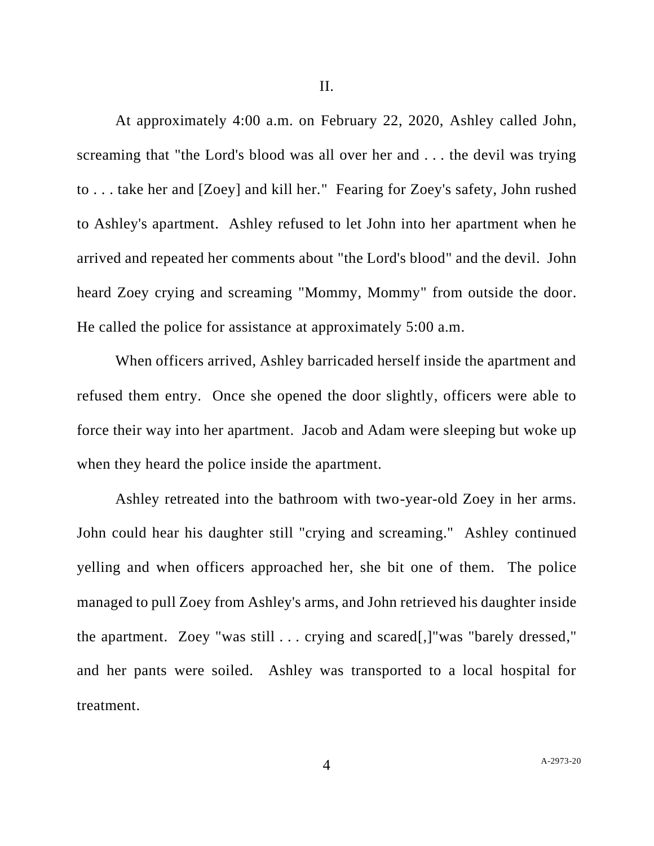At approximately 4:00 a.m. on February 22, 2020, Ashley called John, screaming that "the Lord's blood was all over her and . . . the devil was trying to . . . take her and [Zoey] and kill her." Fearing for Zoey's safety, John rushed to Ashley's apartment. Ashley refused to let John into her apartment when he arrived and repeated her comments about "the Lord's blood" and the devil. John heard Zoey crying and screaming "Mommy, Mommy" from outside the door. He called the police for assistance at approximately 5:00 a.m.

When officers arrived, Ashley barricaded herself inside the apartment and refused them entry. Once she opened the door slightly, officers were able to force their way into her apartment. Jacob and Adam were sleeping but woke up when they heard the police inside the apartment.

Ashley retreated into the bathroom with two-year-old Zoey in her arms. John could hear his daughter still "crying and screaming." Ashley continued yelling and when officers approached her, she bit one of them. The police managed to pull Zoey from Ashley's arms, and John retrieved his daughter inside the apartment. Zoey "was still . . . crying and scared[,]"was "barely dressed," and her pants were soiled. Ashley was transported to a local hospital for treatment.

4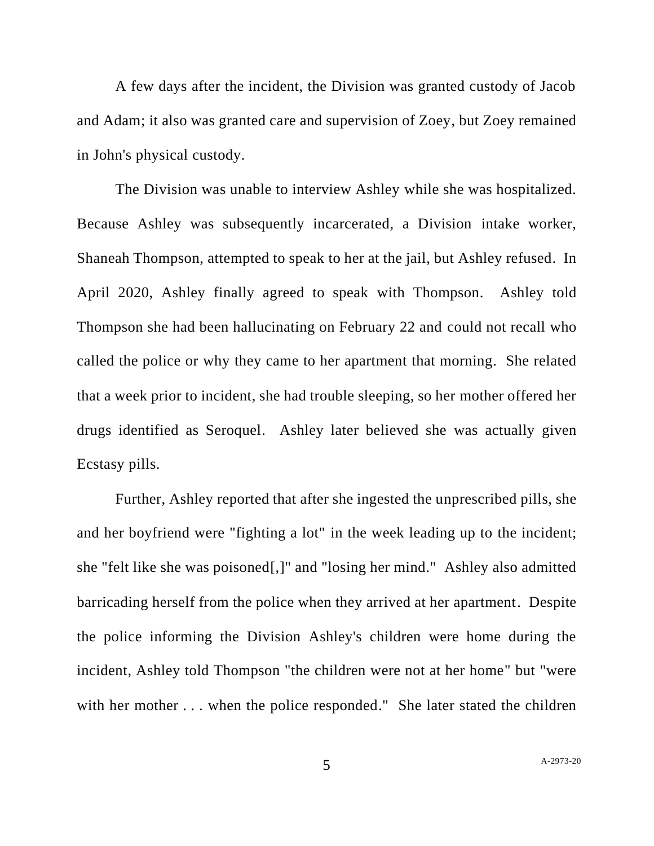A few days after the incident, the Division was granted custody of Jacob and Adam; it also was granted care and supervision of Zoey, but Zoey remained in John's physical custody.

The Division was unable to interview Ashley while she was hospitalized. Because Ashley was subsequently incarcerated, a Division intake worker, Shaneah Thompson, attempted to speak to her at the jail, but Ashley refused. In April 2020, Ashley finally agreed to speak with Thompson. Ashley told Thompson she had been hallucinating on February 22 and could not recall who called the police or why they came to her apartment that morning. She related that a week prior to incident, she had trouble sleeping, so her mother offered her drugs identified as Seroquel. Ashley later believed she was actually given Ecstasy pills.

Further, Ashley reported that after she ingested the unprescribed pills, she and her boyfriend were "fighting a lot" in the week leading up to the incident; she "felt like she was poisoned[,]" and "losing her mind." Ashley also admitted barricading herself from the police when they arrived at her apartment. Despite the police informing the Division Ashley's children were home during the incident, Ashley told Thompson "the children were not at her home" but "were with her mother . . . when the police responded." She later stated the children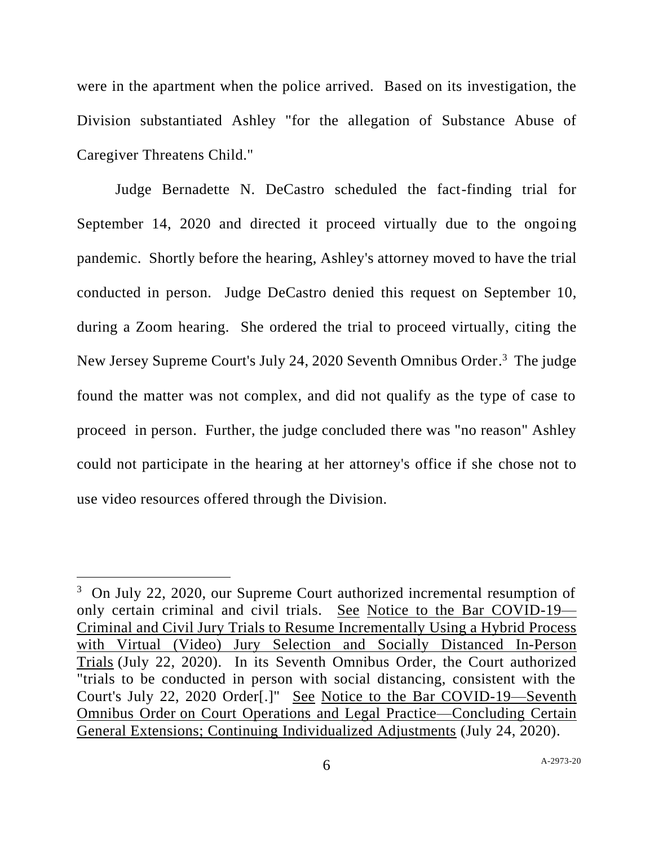were in the apartment when the police arrived. Based on its investigation, the Division substantiated Ashley "for the allegation of Substance Abuse of Caregiver Threatens Child."

Judge Bernadette N. DeCastro scheduled the fact-finding trial for September 14, 2020 and directed it proceed virtually due to the ongoing pandemic. Shortly before the hearing, Ashley's attorney moved to have the trial conducted in person. Judge DeCastro denied this request on September 10, during a Zoom hearing. She ordered the trial to proceed virtually, citing the New Jersey Supreme Court's July 24, 2020 Seventh Omnibus Order.<sup>3</sup> The judge found the matter was not complex, and did not qualify as the type of case to proceed in person. Further, the judge concluded there was "no reason" Ashley could not participate in the hearing at her attorney's office if she chose not to use video resources offered through the Division.

<sup>&</sup>lt;sup>3</sup> On July 22, 2020, our Supreme Court authorized incremental resumption of only certain criminal and civil trials. See Notice to the Bar COVID-19— Criminal and Civil Jury Trials to Resume Incrementally Using a Hybrid Process with Virtual (Video) Jury Selection and Socially Distanced In-Person Trials (July 22, 2020). In its Seventh Omnibus Order, the Court authorized "trials to be conducted in person with social distancing, consistent with the Court's July 22, 2020 Order[.]" See Notice to the Bar COVID-19—Seventh Omnibus Order on Court Operations and Legal Practice—Concluding Certain General Extensions; Continuing Individualized Adjustments (July 24, 2020).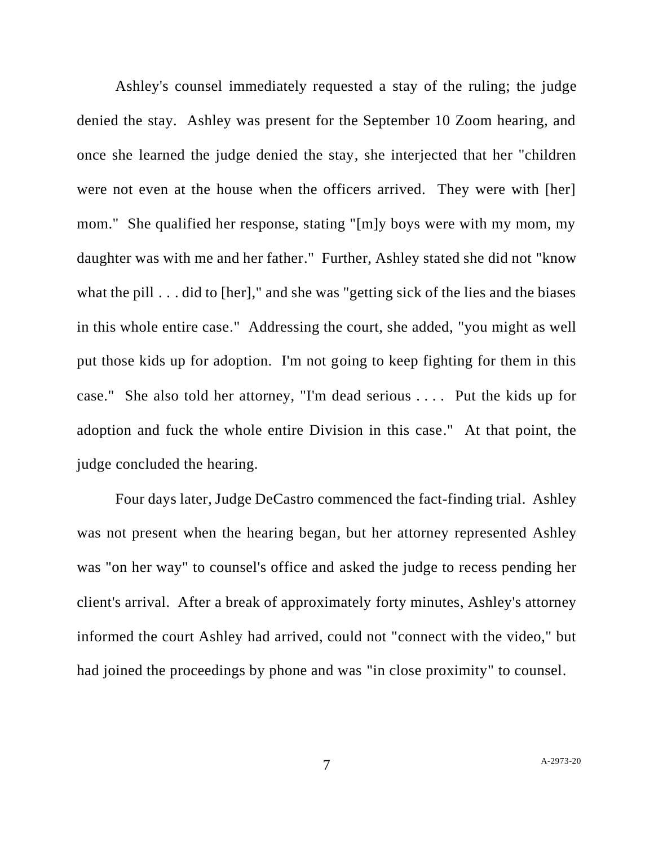Ashley's counsel immediately requested a stay of the ruling; the judge denied the stay. Ashley was present for the September 10 Zoom hearing, and once she learned the judge denied the stay, she interjected that her "children were not even at the house when the officers arrived. They were with [her] mom." She qualified her response, stating "[m]y boys were with my mom, my daughter was with me and her father." Further, Ashley stated she did not "know what the pill . . . did to [her]," and she was "getting sick of the lies and the biases in this whole entire case." Addressing the court, she added, "you might as well put those kids up for adoption. I'm not going to keep fighting for them in this case." She also told her attorney, "I'm dead serious . . . . Put the kids up for adoption and fuck the whole entire Division in this case." At that point, the judge concluded the hearing.

Four days later, Judge DeCastro commenced the fact-finding trial. Ashley was not present when the hearing began, but her attorney represented Ashley was "on her way" to counsel's office and asked the judge to recess pending her client's arrival. After a break of approximately forty minutes, Ashley's attorney informed the court Ashley had arrived, could not "connect with the video," but had joined the proceedings by phone and was "in close proximity" to counsel.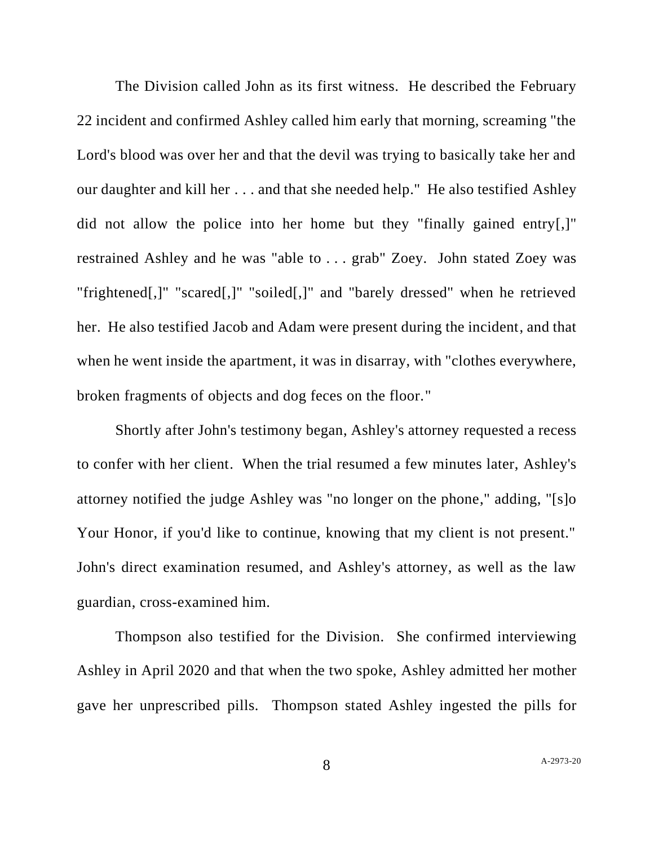The Division called John as its first witness. He described the February 22 incident and confirmed Ashley called him early that morning, screaming "the Lord's blood was over her and that the devil was trying to basically take her and our daughter and kill her . . . and that she needed help." He also testified Ashley did not allow the police into her home but they "finally gained entry[,]" restrained Ashley and he was "able to . . . grab" Zoey. John stated Zoey was "frightened[,]" "scared[,]" "soiled[,]" and "barely dressed" when he retrieved her. He also testified Jacob and Adam were present during the incident, and that when he went inside the apartment, it was in disarray, with "clothes everywhere, broken fragments of objects and dog feces on the floor."

Shortly after John's testimony began, Ashley's attorney requested a recess to confer with her client. When the trial resumed a few minutes later, Ashley's attorney notified the judge Ashley was "no longer on the phone," adding, "[s]o Your Honor, if you'd like to continue, knowing that my client is not present." John's direct examination resumed, and Ashley's attorney, as well as the law guardian, cross-examined him.

Thompson also testified for the Division. She confirmed interviewing Ashley in April 2020 and that when the two spoke, Ashley admitted her mother gave her unprescribed pills. Thompson stated Ashley ingested the pills for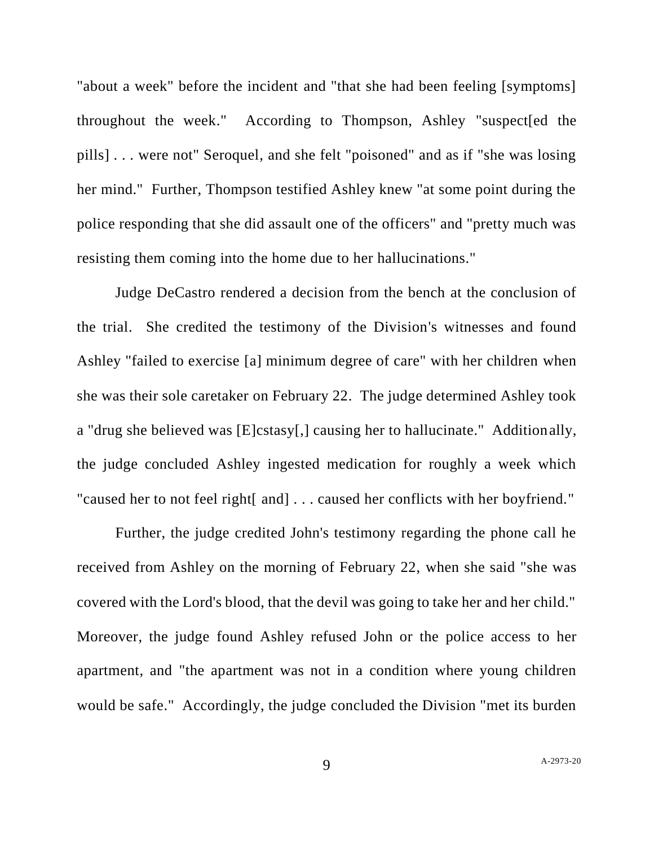"about a week" before the incident and "that she had been feeling [symptoms] throughout the week." According to Thompson, Ashley "suspect[ed the pills] . . . were not" Seroquel, and she felt "poisoned" and as if "she was losing her mind." Further, Thompson testified Ashley knew "at some point during the police responding that she did assault one of the officers" and "pretty much was resisting them coming into the home due to her hallucinations."

Judge DeCastro rendered a decision from the bench at the conclusion of the trial. She credited the testimony of the Division's witnesses and found Ashley "failed to exercise [a] minimum degree of care" with her children when she was their sole caretaker on February 22. The judge determined Ashley took a "drug she believed was [E]cstasy[,] causing her to hallucinate." Additionally, the judge concluded Ashley ingested medication for roughly a week which "caused her to not feel right[ and] . . . caused her conflicts with her boyfriend."

Further, the judge credited John's testimony regarding the phone call he received from Ashley on the morning of February 22, when she said "she was covered with the Lord's blood, that the devil was going to take her and her child." Moreover, the judge found Ashley refused John or the police access to her apartment, and "the apartment was not in a condition where young children would be safe." Accordingly, the judge concluded the Division "met its burden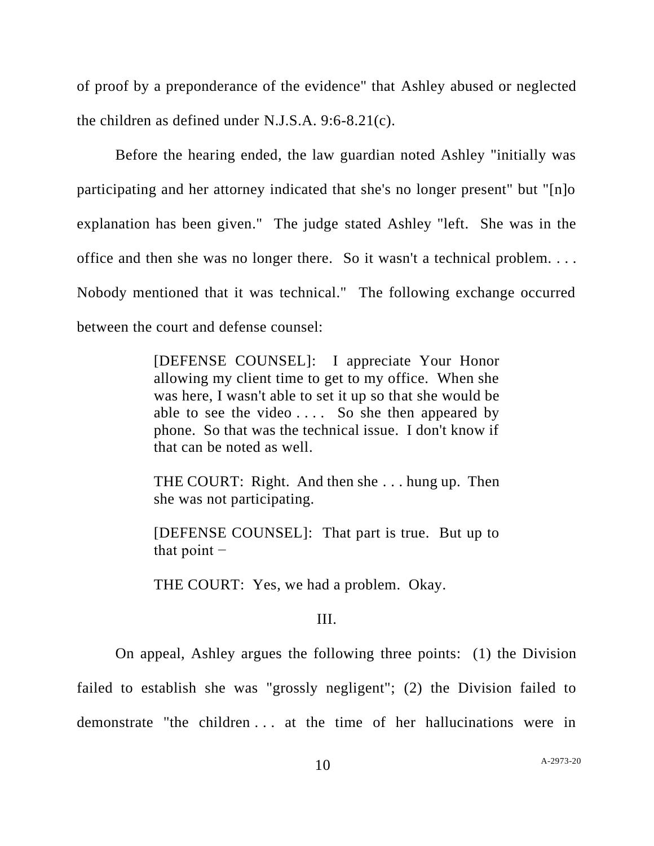of proof by a preponderance of the evidence" that Ashley abused or neglected the children as defined under N.J.S.A. 9:6-8.21(c).

Before the hearing ended, the law guardian noted Ashley "initially was participating and her attorney indicated that she's no longer present" but "[n]o explanation has been given." The judge stated Ashley "left. She was in the office and then she was no longer there. So it wasn't a technical problem. . . . Nobody mentioned that it was technical." The following exchange occurred between the court and defense counsel:

> [DEFENSE COUNSEL]: I appreciate Your Honor allowing my client time to get to my office. When she was here, I wasn't able to set it up so that she would be able to see the video . . . . So she then appeared by phone. So that was the technical issue. I don't know if that can be noted as well.

> THE COURT: Right. And then she . . . hung up. Then she was not participating.

> [DEFENSE COUNSEL]: That part is true. But up to that point  $-$

THE COURT: Yes, we had a problem. Okay.

## III.

On appeal, Ashley argues the following three points: (1) the Division

failed to establish she was "grossly negligent"; (2) the Division failed to

demonstrate "the children . . . at the time of her hallucinations were in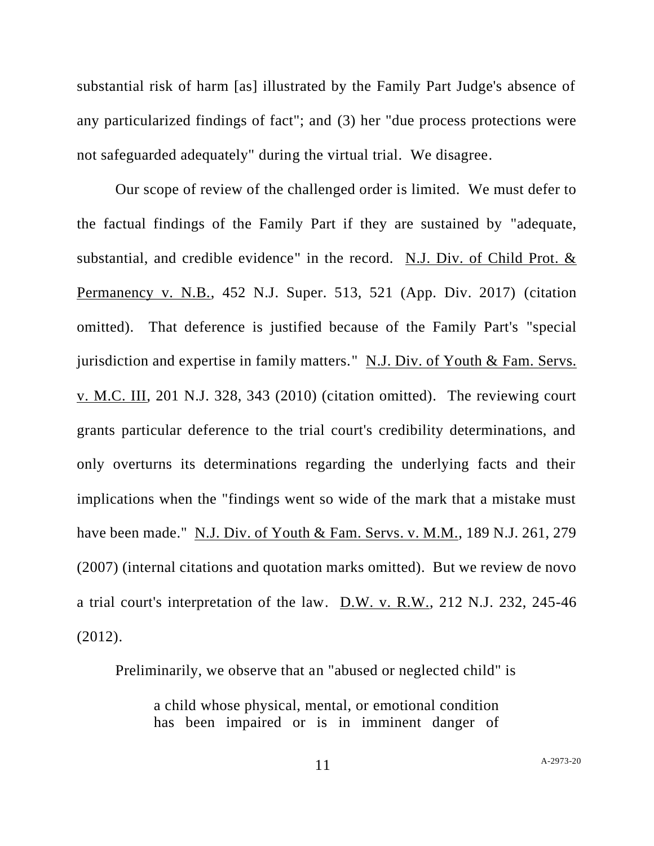substantial risk of harm [as] illustrated by the Family Part Judge's absence of any particularized findings of fact"; and (3) her "due process protections were not safeguarded adequately" during the virtual trial. We disagree.

Our scope of review of the challenged order is limited. We must defer to the factual findings of the Family Part if they are sustained by "adequate, substantial, and credible evidence" in the record. N.J. Div. of Child Prot. & Permanency v. N.B., 452 N.J. Super. 513, 521 (App. Div. 2017) (citation omitted). That deference is justified because of the Family Part's "special jurisdiction and expertise in family matters." N.J. Div. of Youth & Fam. Servs. v. M.C. III, 201 N.J. 328, 343 (2010) (citation omitted). The reviewing court grants particular deference to the trial court's credibility determinations, and only overturns its determinations regarding the underlying facts and their implications when the "findings went so wide of the mark that a mistake must have been made." N.J. Div. of Youth & Fam. Servs. v. M.M., 189 N.J. 261, 279 (2007) (internal citations and quotation marks omitted). But we review de novo a trial court's interpretation of the law. D.W. v. R.W., 212 N.J. 232, 245-46 (2012).

Preliminarily, we observe that an "abused or neglected child" is

a child whose physical, mental, or emotional condition has been impaired or is in imminent danger of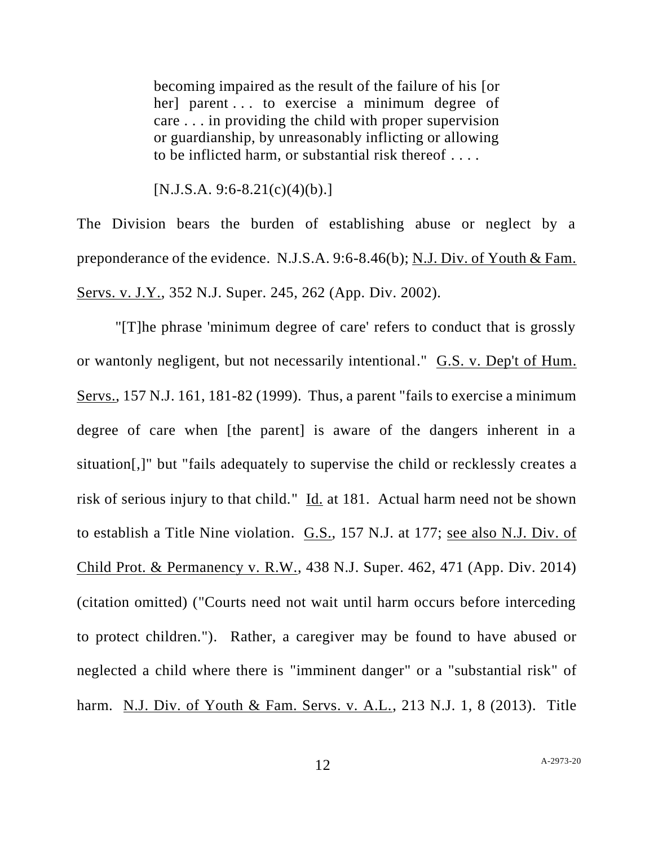becoming impaired as the result of the failure of his [or her] parent . . . to exercise a minimum degree of care . . . in providing the child with proper supervision or guardianship, by unreasonably inflicting or allowing to be inflicted harm, or substantial risk thereof . . . .

 $[N.J.S.A. 9:6-8.21(c)(4)(b).]$ 

The Division bears the burden of establishing abuse or neglect by a preponderance of the evidence. N.J.S.A. 9:6-8.46(b); N.J. Div. of Youth & Fam. Servs. v. J.Y., 352 N.J. Super. 245, 262 (App. Div. 2002).

"[T]he phrase 'minimum degree of care' refers to conduct that is grossly or wantonly negligent, but not necessarily intentional." G.S. v. Dep't of Hum. Servs., 157 N.J. 161, 181-82 (1999). Thus, a parent "fails to exercise a minimum degree of care when [the parent] is aware of the dangers inherent in a situation[,]" but "fails adequately to supervise the child or recklessly creates a risk of serious injury to that child." Id. at 181. Actual harm need not be shown to establish a Title Nine violation. G.S., 157 N.J. at 177; see also N.J. Div. of Child Prot. & Permanency v. R.W., 438 N.J. Super. 462, 471 (App. Div. 2014) (citation omitted) ("Courts need not wait until harm occurs before interceding to protect children."). Rather, a caregiver may be found to have abused or neglected a child where there is "imminent danger" or a "substantial risk" of harm. N.J. Div. of Youth & Fam. Servs. v. A.L., 213 N.J. 1, 8 (2013). Title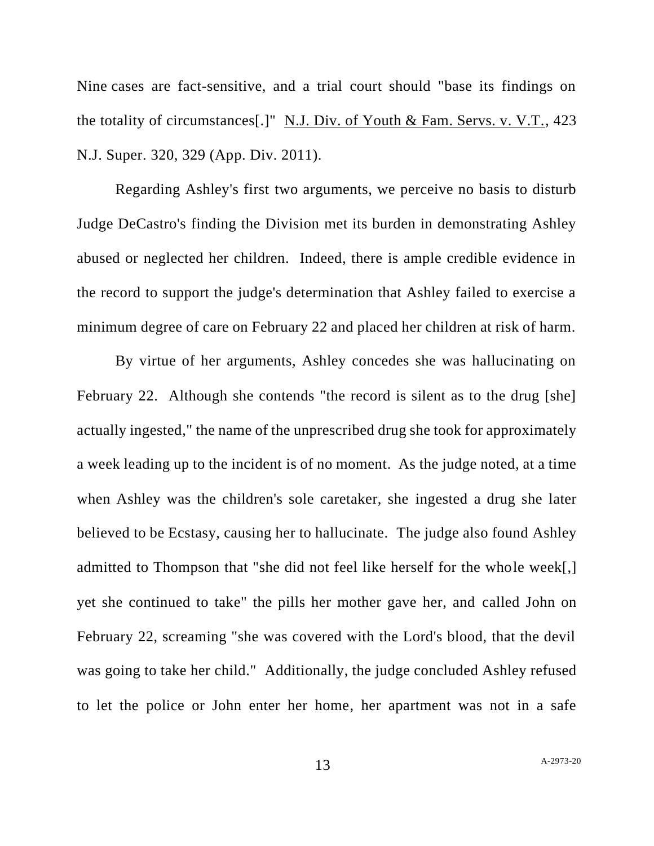Nine cases are fact-sensitive, and a trial court should "base its findings on the totality of circumstances[.]" N.J. Div. of Youth & Fam. Servs. v. V.T., 423 N.J. Super. 320, 329 (App. Div. 2011).

Regarding Ashley's first two arguments, we perceive no basis to disturb Judge DeCastro's finding the Division met its burden in demonstrating Ashley abused or neglected her children. Indeed, there is ample credible evidence in the record to support the judge's determination that Ashley failed to exercise a minimum degree of care on February 22 and placed her children at risk of harm.

By virtue of her arguments, Ashley concedes she was hallucinating on February 22. Although she contends "the record is silent as to the drug [she] actually ingested," the name of the unprescribed drug she took for approximately a week leading up to the incident is of no moment. As the judge noted, at a time when Ashley was the children's sole caretaker, she ingested a drug she later believed to be Ecstasy, causing her to hallucinate. The judge also found Ashley admitted to Thompson that "she did not feel like herself for the whole week[,] yet she continued to take" the pills her mother gave her, and called John on February 22, screaming "she was covered with the Lord's blood, that the devil was going to take her child." Additionally, the judge concluded Ashley refused to let the police or John enter her home, her apartment was not in a safe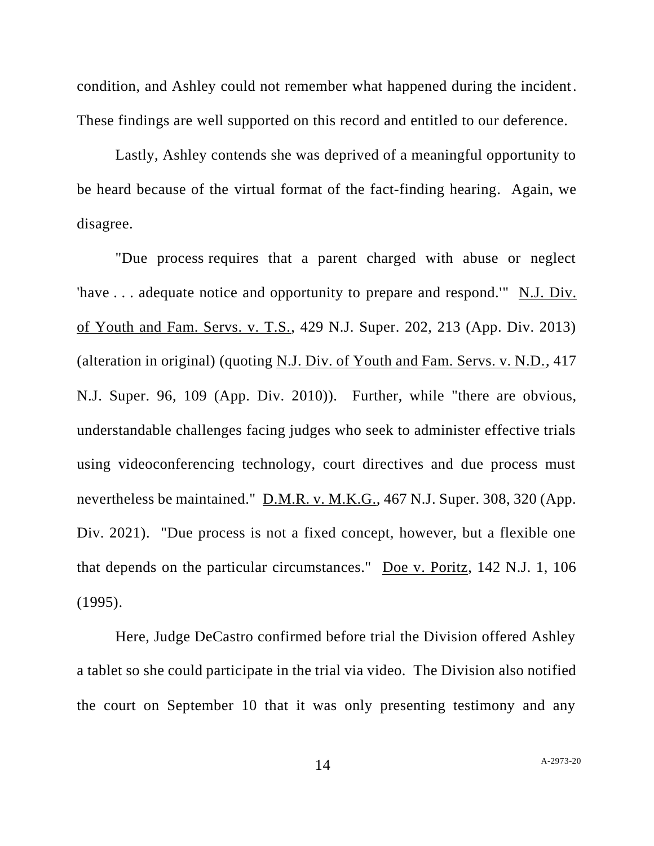condition, and Ashley could not remember what happened during the incident. These findings are well supported on this record and entitled to our deference.

Lastly, Ashley contends she was deprived of a meaningful opportunity to be heard because of the virtual format of the fact-finding hearing. Again, we disagree.

"Due process requires that a parent charged with abuse or neglect 'have . . . adequate notice and opportunity to prepare and respond.'" N.J. Div. of Youth and Fam. Servs. v. T.S., 429 N.J. Super. 202, 213 (App. Div. 2013) (alteration in original) (quoting N.J. Div. of Youth and Fam. Servs. v. N.D., 417 N.J. Super. 96, 109 (App. Div. 2010)). Further, while "there are obvious, understandable challenges facing judges who seek to administer effective trials using videoconferencing technology, court directives and due process must nevertheless be maintained." D.M.R. v. M.K.G., 467 N.J. Super. 308, 320 (App. Div. 2021). "Due process is not a fixed concept, however, but a flexible one that depends on the particular circumstances." Doe v. Poritz, 142 N.J. 1, 106 (1995).

Here, Judge DeCastro confirmed before trial the Division offered Ashley a tablet so she could participate in the trial via video. The Division also notified the court on September 10 that it was only presenting testimony and any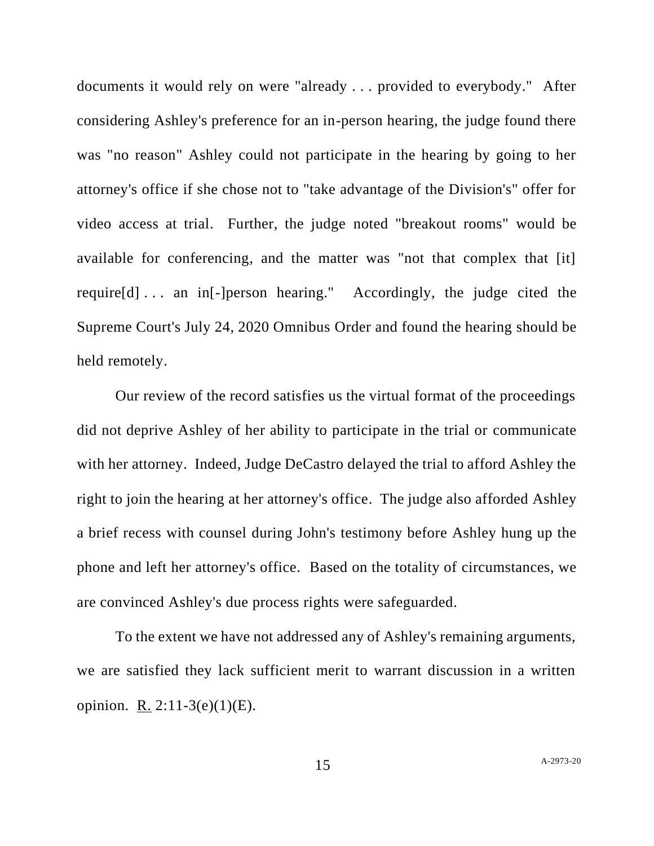documents it would rely on were "already . . . provided to everybody." After considering Ashley's preference for an in-person hearing, the judge found there was "no reason" Ashley could not participate in the hearing by going to her attorney's office if she chose not to "take advantage of the Division's" offer for video access at trial. Further, the judge noted "breakout rooms" would be available for conferencing, and the matter was "not that complex that [it] require[d] . . . an in[-]person hearing." Accordingly, the judge cited the Supreme Court's July 24, 2020 Omnibus Order and found the hearing should be held remotely.

Our review of the record satisfies us the virtual format of the proceedings did not deprive Ashley of her ability to participate in the trial or communicate with her attorney. Indeed, Judge DeCastro delayed the trial to afford Ashley the right to join the hearing at her attorney's office. The judge also afforded Ashley a brief recess with counsel during John's testimony before Ashley hung up the phone and left her attorney's office. Based on the totality of circumstances, we are convinced Ashley's due process rights were safeguarded.

To the extent we have not addressed any of Ashley's remaining arguments, we are satisfied they lack sufficient merit to warrant discussion in a written opinion. R. 2:11-3(e)(1)(E).